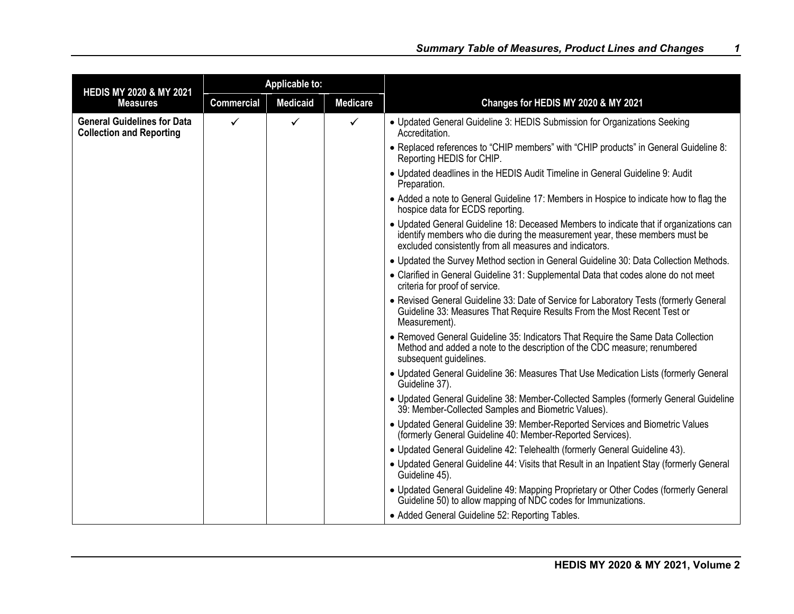| <b>HEDIS MY 2020 &amp; MY 2021</b>                                    |                   | <b>Applicable to:</b> |                 |                                                                                                                                                                                                                                  |
|-----------------------------------------------------------------------|-------------------|-----------------------|-----------------|----------------------------------------------------------------------------------------------------------------------------------------------------------------------------------------------------------------------------------|
| <b>Measures</b>                                                       | <b>Commercial</b> | <b>Medicaid</b>       | <b>Medicare</b> | Changes for HEDIS MY 2020 & MY 2021                                                                                                                                                                                              |
| <b>General Guidelines for Data</b><br><b>Collection and Reporting</b> | $\checkmark$      | ✓                     | $\checkmark$    | • Updated General Guideline 3: HEDIS Submission for Organizations Seeking<br>Accreditation.                                                                                                                                      |
|                                                                       |                   |                       |                 | . Replaced references to "CHIP members" with "CHIP products" in General Guideline 8:<br>Reporting HEDIS for CHIP.                                                                                                                |
|                                                                       |                   |                       |                 | • Updated deadlines in the HEDIS Audit Timeline in General Guideline 9: Audit<br>Preparation.                                                                                                                                    |
|                                                                       |                   |                       |                 | • Added a note to General Guideline 17: Members in Hospice to indicate how to flag the<br>hospice data for ECDS reporting.                                                                                                       |
|                                                                       |                   |                       |                 | • Updated General Guideline 18: Deceased Members to indicate that if organizations can<br>identify members who die during the measurement year, these members must be<br>excluded consistently from all measures and indicators. |
|                                                                       |                   |                       |                 | . Updated the Survey Method section in General Guideline 30: Data Collection Methods.                                                                                                                                            |
|                                                                       |                   |                       |                 | • Clarified in General Guideline 31: Supplemental Data that codes alone do not meet<br>criteria for proof of service.                                                                                                            |
|                                                                       |                   |                       |                 | • Revised General Guideline 33: Date of Service for Laboratory Tests (formerly General<br>Guideline 33: Measures That Require Results From the Most Recent Test or<br>Measurement).                                              |
|                                                                       |                   |                       |                 | • Removed General Guideline 35: Indicators That Require the Same Data Collection<br>Method and added a note to the description of the CDC measure; renumbered<br>subsequent guidelines.                                          |
|                                                                       |                   |                       |                 | • Updated General Guideline 36: Measures That Use Medication Lists (formerly General<br>Guideline 37).                                                                                                                           |
|                                                                       |                   |                       |                 | • Updated General Guideline 38: Member-Collected Samples (formerly General Guideline<br>39: Member-Collected Samples and Biometric Values).                                                                                      |
|                                                                       |                   |                       |                 | • Updated General Guideline 39: Member-Reported Services and Biometric Values<br>(formerly General Guideline 40: Member-Reported Services).                                                                                      |
|                                                                       |                   |                       |                 | • Updated General Guideline 42: Telehealth (formerly General Guideline 43).                                                                                                                                                      |
|                                                                       |                   |                       |                 | • Updated General Guideline 44: Visits that Result in an Inpatient Stay (formerly General<br>Guideline 45).                                                                                                                      |
|                                                                       |                   |                       |                 | • Updated General Guideline 49: Mapping Proprietary or Other Codes (formerly General<br>Guideline 50) to allow mapping of NDC codes for Immunizations.                                                                           |
|                                                                       |                   |                       |                 | • Added General Guideline 52: Reporting Tables.                                                                                                                                                                                  |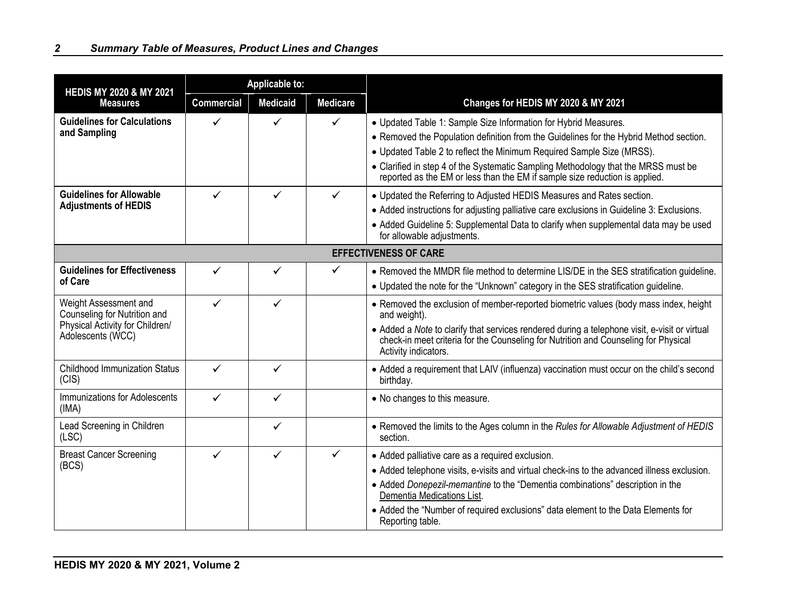| <b>HEDIS MY 2020 &amp; MY 2021</b>                                                                            | <b>Applicable to:</b> |                 |                 |                                                                                                                                                                                                                                                                                                                                                                                                         |
|---------------------------------------------------------------------------------------------------------------|-----------------------|-----------------|-----------------|---------------------------------------------------------------------------------------------------------------------------------------------------------------------------------------------------------------------------------------------------------------------------------------------------------------------------------------------------------------------------------------------------------|
| <b>Measures</b>                                                                                               | <b>Commercial</b>     | <b>Medicaid</b> | <b>Medicare</b> | Changes for HEDIS MY 2020 & MY 2021                                                                                                                                                                                                                                                                                                                                                                     |
| <b>Guidelines for Calculations</b><br>and Sampling                                                            | ✓                     | ✓               | ✓               | • Updated Table 1: Sample Size Information for Hybrid Measures.<br>• Removed the Population definition from the Guidelines for the Hybrid Method section.<br>• Updated Table 2 to reflect the Minimum Required Sample Size (MRSS).<br>• Clarified in step 4 of the Systematic Sampling Methodology that the MRSS must be<br>reported as the EM or less than the EM if sample size reduction is applied. |
| <b>Guidelines for Allowable</b><br><b>Adjustments of HEDIS</b>                                                | $\checkmark$          | ✓               | $\checkmark$    | • Updated the Referring to Adjusted HEDIS Measures and Rates section.<br>• Added instructions for adjusting palliative care exclusions in Guideline 3: Exclusions.<br>• Added Guideline 5: Supplemental Data to clarify when supplemental data may be used<br>for allowable adjustments.                                                                                                                |
|                                                                                                               |                       |                 |                 | <b>EFFECTIVENESS OF CARE</b>                                                                                                                                                                                                                                                                                                                                                                            |
| <b>Guidelines for Effectiveness</b><br>of Care                                                                | ✓                     | ✓               | $\checkmark$    | • Removed the MMDR file method to determine LIS/DE in the SES stratification guideline.<br>. Updated the note for the "Unknown" category in the SES stratification guideline.                                                                                                                                                                                                                           |
| Weight Assessment and<br>Counseling for Nutrition and<br>Physical Activity for Children/<br>Adolescents (WCC) | $\checkmark$          | $\checkmark$    |                 | • Removed the exclusion of member-reported biometric values (body mass index, height<br>and weight).<br>• Added a Note to clarify that services rendered during a telephone visit, e-visit or virtual<br>check-in meet criteria for the Counseling for Nutrition and Counseling for Physical<br>Activity indicators.                                                                                    |
| <b>Childhood Immunization Status</b><br>(CIS)                                                                 | ✓                     | ✓               |                 | • Added a requirement that LAIV (influenza) vaccination must occur on the child's second<br>birthday.                                                                                                                                                                                                                                                                                                   |
| <b>Immunizations for Adolescents</b><br>(IMA)                                                                 | ✓                     | ✓               |                 | • No changes to this measure.                                                                                                                                                                                                                                                                                                                                                                           |
| Lead Screening in Children<br>(LSC)                                                                           |                       | $\checkmark$    |                 | . Removed the limits to the Ages column in the Rules for Allowable Adjustment of HEDIS<br>section.                                                                                                                                                                                                                                                                                                      |
| <b>Breast Cancer Screening</b><br>(BCS)                                                                       | ✓                     | ✓               | ✓               | • Added palliative care as a required exclusion.<br>• Added telephone visits, e-visits and virtual check-ins to the advanced illness exclusion.<br>• Added Donepezil-memantine to the "Dementia combinations" description in the<br>Dementia Medications List.<br>• Added the "Number of required exclusions" data element to the Data Elements for<br>Reporting table.                                 |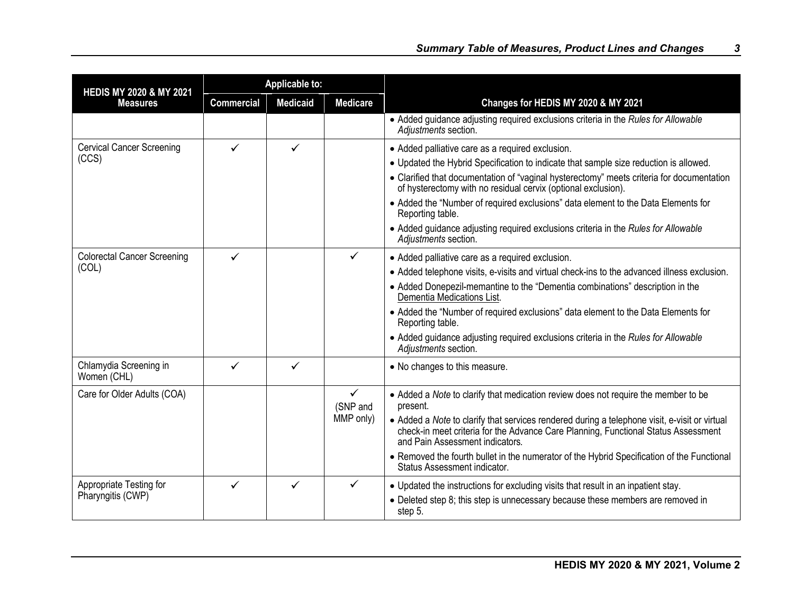| <b>HEDIS MY 2020 &amp; MY 2021</b>    |                   | <b>Applicable to:</b> |                          |                                                                                                                                                                                                                        |
|---------------------------------------|-------------------|-----------------------|--------------------------|------------------------------------------------------------------------------------------------------------------------------------------------------------------------------------------------------------------------|
| <b>Measures</b>                       | <b>Commercial</b> | <b>Medicaid</b>       | <b>Medicare</b>          | Changes for HEDIS MY 2020 & MY 2021                                                                                                                                                                                    |
|                                       |                   |                       |                          | • Added guidance adjusting required exclusions criteria in the Rules for Allowable<br>Adjustments section.                                                                                                             |
| <b>Cervical Cancer Screening</b>      | ✓                 | $\checkmark$          |                          | • Added palliative care as a required exclusion.                                                                                                                                                                       |
| (CCS)                                 |                   |                       |                          | • Updated the Hybrid Specification to indicate that sample size reduction is allowed.                                                                                                                                  |
|                                       |                   |                       |                          | • Clarified that documentation of "vaginal hysterectomy" meets criteria for documentation<br>of hysterectomy with no residual cervix (optional exclusion).                                                             |
|                                       |                   |                       |                          | • Added the "Number of required exclusions" data element to the Data Elements for<br>Reporting table.                                                                                                                  |
|                                       |                   |                       |                          | • Added guidance adjusting required exclusions criteria in the Rules for Allowable<br>Adjustments section.                                                                                                             |
| <b>Colorectal Cancer Screening</b>    | ✓                 |                       | $\checkmark$             | • Added palliative care as a required exclusion.                                                                                                                                                                       |
| (COL)                                 |                   |                       |                          | • Added telephone visits, e-visits and virtual check-ins to the advanced illness exclusion.                                                                                                                            |
|                                       |                   |                       |                          | • Added Donepezil-memantine to the "Dementia combinations" description in the<br>Dementia Medications List.                                                                                                            |
|                                       |                   |                       |                          | • Added the "Number of required exclusions" data element to the Data Elements for<br>Reporting table.                                                                                                                  |
|                                       |                   |                       |                          | • Added guidance adjusting required exclusions criteria in the Rules for Allowable<br>Adjustments section.                                                                                                             |
| Chlamydia Screening in<br>Women (CHL) | ✓                 | $\checkmark$          |                          | • No changes to this measure.                                                                                                                                                                                          |
| Care for Older Adults (COA)           |                   |                       | $\checkmark$<br>(SNP and | • Added a Note to clarify that medication review does not require the member to be<br>present.                                                                                                                         |
|                                       |                   |                       | MMP only)                | • Added a Note to clarify that services rendered during a telephone visit, e-visit or virtual<br>check-in meet criteria for the Advance Care Planning, Functional Status Assessment<br>and Pain Assessment indicators. |
|                                       |                   |                       |                          | • Removed the fourth bullet in the numerator of the Hybrid Specification of the Functional<br>Status Assessment indicator.                                                                                             |
| Appropriate Testing for               | ✓                 | ✓                     | $\checkmark$             | • Updated the instructions for excluding visits that result in an inpatient stay.                                                                                                                                      |
| Pharyngitis (CWP)                     |                   |                       |                          | • Deleted step 8; this step is unnecessary because these members are removed in<br>step 5.                                                                                                                             |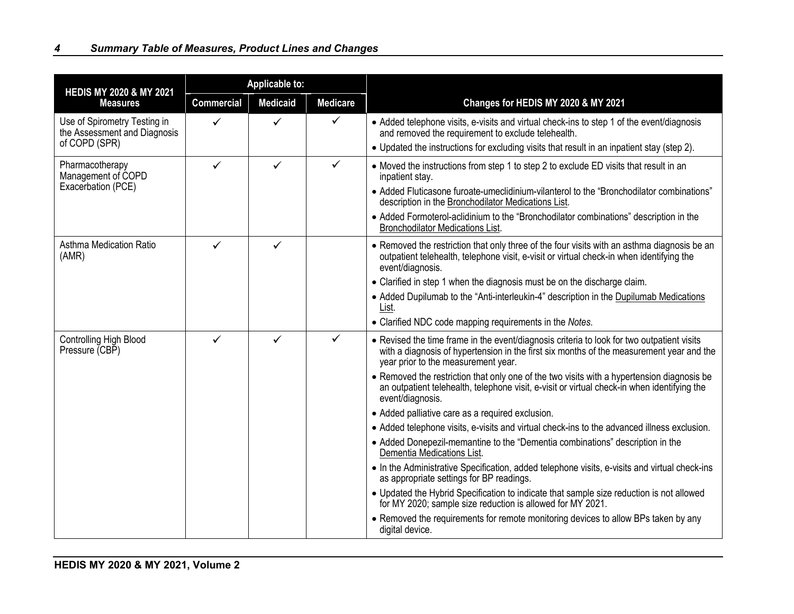| <b>HEDIS MY 2020 &amp; MY 2021</b>                                            | <b>Applicable to:</b> |                 |                 |                                                                                                                                                                                                                                                                                                                                                                                                                                                                                                                                                                                                                                                                                                                                                                                                                                                                                                                                                                                                                                                                                                                                  |
|-------------------------------------------------------------------------------|-----------------------|-----------------|-----------------|----------------------------------------------------------------------------------------------------------------------------------------------------------------------------------------------------------------------------------------------------------------------------------------------------------------------------------------------------------------------------------------------------------------------------------------------------------------------------------------------------------------------------------------------------------------------------------------------------------------------------------------------------------------------------------------------------------------------------------------------------------------------------------------------------------------------------------------------------------------------------------------------------------------------------------------------------------------------------------------------------------------------------------------------------------------------------------------------------------------------------------|
| <b>Measures</b>                                                               | <b>Commercial</b>     | <b>Medicaid</b> | <b>Medicare</b> | Changes for HEDIS MY 2020 & MY 2021                                                                                                                                                                                                                                                                                                                                                                                                                                                                                                                                                                                                                                                                                                                                                                                                                                                                                                                                                                                                                                                                                              |
| Use of Spirometry Testing in<br>the Assessment and Diagnosis<br>of COPD (SPR) | ✓                     |                 | $\checkmark$    | • Added telephone visits, e-visits and virtual check-ins to step 1 of the event/diagnosis<br>and removed the requirement to exclude telehealth.<br>• Updated the instructions for excluding visits that result in an inpatient stay (step 2).                                                                                                                                                                                                                                                                                                                                                                                                                                                                                                                                                                                                                                                                                                                                                                                                                                                                                    |
| Pharmacotherapy<br>Management of COPD<br>Exacerbation (PCE)                   | $\checkmark$          | ✓               | $\checkmark$    | • Moved the instructions from step 1 to step 2 to exclude ED visits that result in an<br>inpatient stay.<br>• Added Fluticasone furoate-umeclidinium-vilanterol to the "Bronchodilator combinations"<br>description in the Bronchodilator Medications List.<br>• Added Formoterol-aclidinium to the "Bronchodilator combinations" description in the<br><b>Bronchodilator Medications List.</b>                                                                                                                                                                                                                                                                                                                                                                                                                                                                                                                                                                                                                                                                                                                                  |
| Asthma Medication Ratio<br>(AMR)                                              | ✓                     | ✓               |                 | • Removed the restriction that only three of the four visits with an asthma diagnosis be an<br>outpatient telehealth, telephone visit, e-visit or virtual check-in when identifying the<br>event/diagnosis.<br>• Clarified in step 1 when the diagnosis must be on the discharge claim.<br>• Added Dupilumab to the "Anti-interleukin-4" description in the Dupilumab Medications<br>List.<br>• Clarified NDC code mapping requirements in the Notes.                                                                                                                                                                                                                                                                                                                                                                                                                                                                                                                                                                                                                                                                            |
| Controlling High Blood<br>Pressure (CBP)                                      | ✓                     | ✓               | ✓               | • Revised the time frame in the event/diagnosis criteria to look for two outpatient visits<br>with a diagnosis of hypertension in the first six months of the measurement year and the<br>year prior to the measurement year.<br>• Removed the restriction that only one of the two visits with a hypertension diagnosis be<br>an outpatient telehealth, telephone visit, e-visit or virtual check-in when identifying the<br>event/diagnosis.<br>• Added palliative care as a required exclusion.<br>• Added telephone visits, e-visits and virtual check-ins to the advanced illness exclusion.<br>• Added Donepezil-memantine to the "Dementia combinations" description in the<br>Dementia Medications List.<br>• In the Administrative Specification, added telephone visits, e-visits and virtual check-ins<br>as appropriate settings for BP readings.<br>• Updated the Hybrid Specification to indicate that sample size reduction is not allowed<br>for MY 2020; sample size reduction is allowed for MY 2021.<br>• Removed the requirements for remote monitoring devices to allow BPs taken by any<br>digital device. |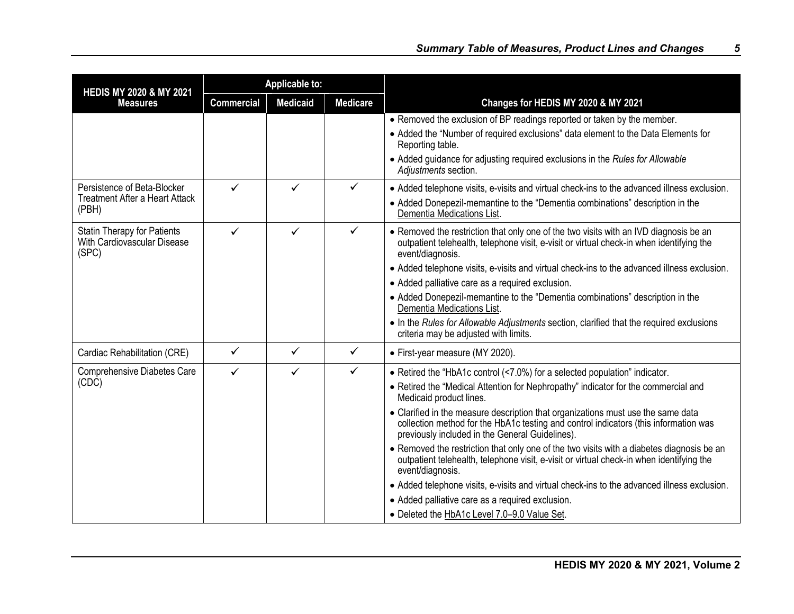| <b>HEDIS MY 2020 &amp; MY 2021</b>                                            |                   | <b>Applicable to:</b> |                 |                                                                                                                                                                                                                                                                                                                                                                                                                                                                                                                                                                                                                                                                                                                                                                                                                                            |
|-------------------------------------------------------------------------------|-------------------|-----------------------|-----------------|--------------------------------------------------------------------------------------------------------------------------------------------------------------------------------------------------------------------------------------------------------------------------------------------------------------------------------------------------------------------------------------------------------------------------------------------------------------------------------------------------------------------------------------------------------------------------------------------------------------------------------------------------------------------------------------------------------------------------------------------------------------------------------------------------------------------------------------------|
| <b>Measures</b>                                                               | <b>Commercial</b> | <b>Medicaid</b>       | <b>Medicare</b> | Changes for HEDIS MY 2020 & MY 2021                                                                                                                                                                                                                                                                                                                                                                                                                                                                                                                                                                                                                                                                                                                                                                                                        |
|                                                                               |                   |                       |                 | • Removed the exclusion of BP readings reported or taken by the member.<br>• Added the "Number of required exclusions" data element to the Data Elements for<br>Reporting table.<br>• Added guidance for adjusting required exclusions in the Rules for Allowable<br>Adjustments section.                                                                                                                                                                                                                                                                                                                                                                                                                                                                                                                                                  |
| Persistence of Beta-Blocker<br><b>Treatment After a Heart Attack</b><br>(PBH) | ✓                 | $\checkmark$          | $\checkmark$    | • Added telephone visits, e-visits and virtual check-ins to the advanced illness exclusion.<br>• Added Donepezil-memantine to the "Dementia combinations" description in the<br>Dementia Medications List.                                                                                                                                                                                                                                                                                                                                                                                                                                                                                                                                                                                                                                 |
| <b>Statin Therapy for Patients</b><br>With Cardiovascular Disease<br>(SPC)    | ✓                 | $\checkmark$          | $\checkmark$    | • Removed the restriction that only one of the two visits with an IVD diagnosis be an<br>outpatient telehealth, telephone visit, e-visit or virtual check-in when identifying the<br>event/diagnosis.<br>• Added telephone visits, e-visits and virtual check-ins to the advanced illness exclusion.<br>• Added palliative care as a required exclusion.<br>• Added Donepezil-memantine to the "Dementia combinations" description in the<br>Dementia Medications List.<br>• In the Rules for Allowable Adjustments section, clarified that the required exclusions<br>criteria may be adjusted with limits.                                                                                                                                                                                                                               |
| Cardiac Rehabilitation (CRE)                                                  | $\checkmark$      | $\checkmark$          | $\checkmark$    | • First-year measure (MY 2020).                                                                                                                                                                                                                                                                                                                                                                                                                                                                                                                                                                                                                                                                                                                                                                                                            |
| Comprehensive Diabetes Care<br>(CDĊ)                                          | $\checkmark$      | $\checkmark$          | $\checkmark$    | • Retired the "HbA1c control (<7.0%) for a selected population" indicator.<br>• Retired the "Medical Attention for Nephropathy" indicator for the commercial and<br>Medicaid product lines.<br>• Clarified in the measure description that organizations must use the same data<br>collection method for the HbA1c testing and control indicators (this information was<br>previously included in the General Guidelines).<br>• Removed the restriction that only one of the two visits with a diabetes diagnosis be an<br>outpatient telehealth, telephone visit, e-visit or virtual check-in when identifying the<br>event/diagnosis.<br>• Added telephone visits, e-visits and virtual check-ins to the advanced illness exclusion.<br>• Added palliative care as a required exclusion.<br>• Deleted the HbA1c Level 7.0-9.0 Value Set. |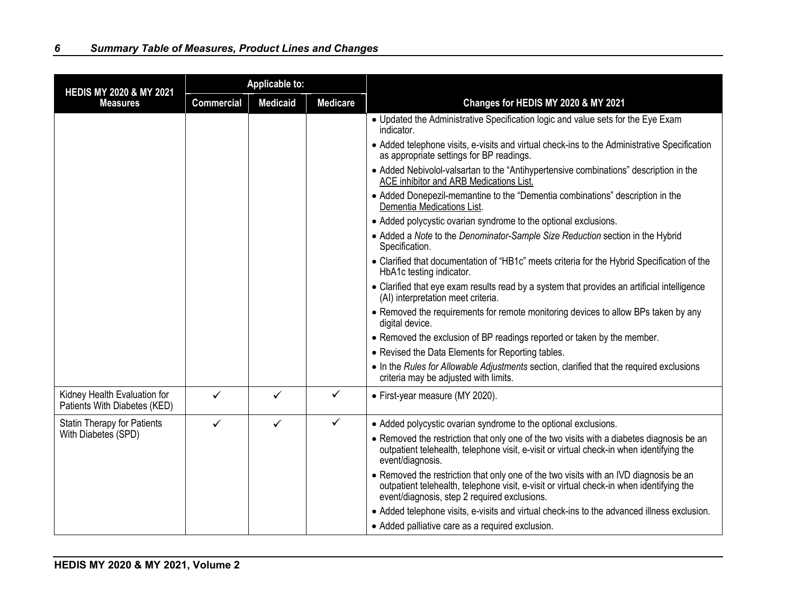| <b>HEDIS MY 2020 &amp; MY 2021</b>                           |                   | <b>Applicable to:</b> |                 |                                                                                                                                                                                                                                   |
|--------------------------------------------------------------|-------------------|-----------------------|-----------------|-----------------------------------------------------------------------------------------------------------------------------------------------------------------------------------------------------------------------------------|
| <b>Measures</b>                                              | <b>Commercial</b> | <b>Medicaid</b>       | <b>Medicare</b> | Changes for HEDIS MY 2020 & MY 2021                                                                                                                                                                                               |
|                                                              |                   |                       |                 | • Updated the Administrative Specification logic and value sets for the Eye Exam<br>indicator.                                                                                                                                    |
|                                                              |                   |                       |                 | • Added telephone visits, e-visits and virtual check-ins to the Administrative Specification<br>as appropriate settings for BP readings.                                                                                          |
|                                                              |                   |                       |                 | • Added Nebivolol-valsartan to the "Antihypertensive combinations" description in the<br>ACE inhibitor and ARB Medications List.                                                                                                  |
|                                                              |                   |                       |                 | • Added Donepezil-memantine to the "Dementia combinations" description in the<br>Dementia Medications List.                                                                                                                       |
|                                                              |                   |                       |                 | • Added polycystic ovarian syndrome to the optional exclusions.                                                                                                                                                                   |
|                                                              |                   |                       |                 | • Added a Note to the Denominator-Sample Size Reduction section in the Hybrid<br>Specification.                                                                                                                                   |
|                                                              |                   |                       |                 | • Clarified that documentation of "HB1c" meets criteria for the Hybrid Specification of the<br>HbA1c testing indicator.                                                                                                           |
|                                                              |                   |                       |                 | • Clarified that eye exam results read by a system that provides an artificial intelligence<br>(AI) interpretation meet criteria.                                                                                                 |
|                                                              |                   |                       |                 | • Removed the requirements for remote monitoring devices to allow BPs taken by any<br>digital device.                                                                                                                             |
|                                                              |                   |                       |                 | • Removed the exclusion of BP readings reported or taken by the member.                                                                                                                                                           |
|                                                              |                   |                       |                 | • Revised the Data Elements for Reporting tables.                                                                                                                                                                                 |
|                                                              |                   |                       |                 | • In the Rules for Allowable Adjustments section, clarified that the required exclusions<br>criteria may be adjusted with limits.                                                                                                 |
| Kidney Health Evaluation for<br>Patients With Diabetes (KED) | ✓                 | ✓                     | $\checkmark$    | • First-year measure (MY 2020).                                                                                                                                                                                                   |
| <b>Statin Therapy for Patients</b>                           | $\checkmark$      | $\checkmark$          | $\checkmark$    | • Added polycystic ovarian syndrome to the optional exclusions.                                                                                                                                                                   |
| With Diabetes (SPD)                                          |                   |                       |                 | • Removed the restriction that only one of the two visits with a diabetes diagnosis be an<br>outpatient telehealth, telephone visit, e-visit or virtual check-in when identifying the<br>event/diagnosis.                         |
|                                                              |                   |                       |                 | • Removed the restriction that only one of the two visits with an IVD diagnosis be an<br>outpatient telehealth, telephone visit, e-visit or virtual check-in when identifying the<br>event/diagnosis, step 2 required exclusions. |
|                                                              |                   |                       |                 | • Added telephone visits, e-visits and virtual check-ins to the advanced illness exclusion.                                                                                                                                       |
|                                                              |                   |                       |                 | • Added palliative care as a required exclusion.                                                                                                                                                                                  |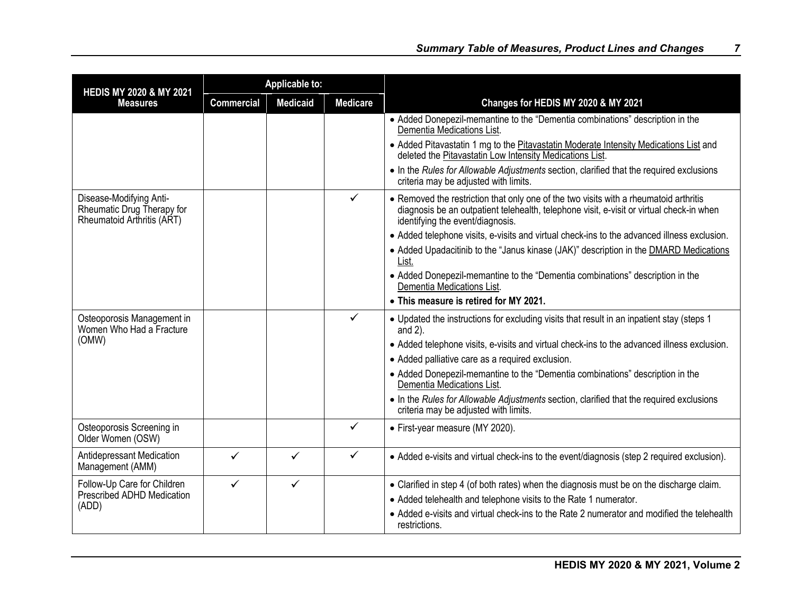| <b>HEDIS MY 2020 &amp; MY 2021</b>                                                  |                   | <b>Applicable to:</b> |                 |                                                                                                                                                                                                                       |
|-------------------------------------------------------------------------------------|-------------------|-----------------------|-----------------|-----------------------------------------------------------------------------------------------------------------------------------------------------------------------------------------------------------------------|
| <b>Measures</b>                                                                     | <b>Commercial</b> | <b>Medicaid</b>       | <b>Medicare</b> | Changes for HEDIS MY 2020 & MY 2021                                                                                                                                                                                   |
|                                                                                     |                   |                       |                 | • Added Donepezil-memantine to the "Dementia combinations" description in the<br>Dementia Medications List.                                                                                                           |
|                                                                                     |                   |                       |                 | • Added Pitavastatin 1 mg to the Pitavastatin Moderate Intensity Medications List and<br>deleted the Pitavastatin Low Intensity Medications List.                                                                     |
|                                                                                     |                   |                       |                 | • In the Rules for Allowable Adjustments section, clarified that the required exclusions<br>criteria may be adjusted with limits.                                                                                     |
| Disease-Modifying Anti-<br>Rheumatic Drug Therapy for<br>Rheumatoid Arthritis (ART) |                   |                       | ✓               | • Removed the restriction that only one of the two visits with a rheumatoid arthritis<br>diagnosis be an outpatient telehealth, telephone visit, e-visit or virtual check-in when<br>identifying the event/diagnosis. |
|                                                                                     |                   |                       |                 | • Added telephone visits, e-visits and virtual check-ins to the advanced illness exclusion.                                                                                                                           |
|                                                                                     |                   |                       |                 | • Added Upadacitinib to the "Janus kinase (JAK)" description in the <b>DMARD</b> Medications<br>List.                                                                                                                 |
|                                                                                     |                   |                       |                 | • Added Donepezil-memantine to the "Dementia combinations" description in the<br>Dementia Medications List.                                                                                                           |
|                                                                                     |                   |                       |                 | • This measure is retired for MY 2021.                                                                                                                                                                                |
| Osteoporosis Management in<br>Women Who Had a Fracture                              |                   |                       | $\checkmark$    | • Updated the instructions for excluding visits that result in an inpatient stay (steps 1<br>and $2$ ).                                                                                                               |
| (OMW)                                                                               |                   |                       |                 | • Added telephone visits, e-visits and virtual check-ins to the advanced illness exclusion.                                                                                                                           |
|                                                                                     |                   |                       |                 | • Added palliative care as a required exclusion.                                                                                                                                                                      |
|                                                                                     |                   |                       |                 | • Added Donepezil-memantine to the "Dementia combinations" description in the<br>Dementia Medications List                                                                                                            |
|                                                                                     |                   |                       |                 | • In the Rules for Allowable Adjustments section, clarified that the required exclusions<br>criteria may be adjusted with limits.                                                                                     |
| Osteoporosis Screening in<br>Older Women (OSW)                                      |                   |                       | ✓               | • First-year measure (MY 2020).                                                                                                                                                                                       |
| Antidepressant Medication<br>Management (AMM)                                       | $\checkmark$      | $\checkmark$          | $\checkmark$    | • Added e-visits and virtual check-ins to the event/diagnosis (step 2 required exclusion).                                                                                                                            |
| Follow-Up Care for Children                                                         | ✓                 | $\checkmark$          |                 | • Clarified in step 4 (of both rates) when the diagnosis must be on the discharge claim.                                                                                                                              |
| Prescribed ADHD Medication                                                          |                   |                       |                 | • Added telehealth and telephone visits to the Rate 1 numerator.                                                                                                                                                      |
| (ADD)                                                                               |                   |                       |                 | • Added e-visits and virtual check-ins to the Rate 2 numerator and modified the telehealth<br>restrictions.                                                                                                           |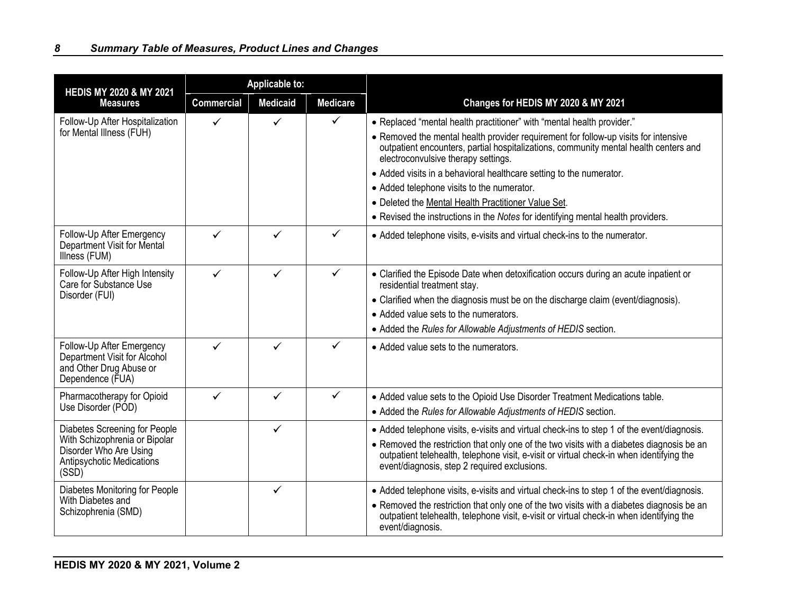| <b>HEDIS MY 2020 &amp; MY 2021</b>                                                                                             | <b>Applicable to:</b> |                 |                 |                                                                                                                                                                                                                                                                                                                                                                                                                                                                                                                                                              |  |
|--------------------------------------------------------------------------------------------------------------------------------|-----------------------|-----------------|-----------------|--------------------------------------------------------------------------------------------------------------------------------------------------------------------------------------------------------------------------------------------------------------------------------------------------------------------------------------------------------------------------------------------------------------------------------------------------------------------------------------------------------------------------------------------------------------|--|
| <b>Measures</b>                                                                                                                | <b>Commercial</b>     | <b>Medicaid</b> | <b>Medicare</b> | Changes for HEDIS MY 2020 & MY 2021                                                                                                                                                                                                                                                                                                                                                                                                                                                                                                                          |  |
| Follow-Up After Hospitalization<br>for Mental Illness (FUH)                                                                    | ✓                     |                 | ✓               | • Replaced "mental health practitioner" with "mental health provider."<br>• Removed the mental health provider requirement for follow-up visits for intensive<br>outpatient encounters, partial hospitalizations, community mental health centers and<br>electroconvulsive therapy settings.<br>• Added visits in a behavioral healthcare setting to the numerator.<br>• Added telephone visits to the numerator.<br>• Deleted the Mental Health Practitioner Value Set.<br>• Revised the instructions in the Notes for identifying mental health providers. |  |
| Follow-Up After Emergency<br>Department Visit for Mental<br>Illness (FUM)                                                      | ✓                     | ✓               | ✓               | • Added telephone visits, e-visits and virtual check-ins to the numerator.                                                                                                                                                                                                                                                                                                                                                                                                                                                                                   |  |
| Follow-Up After High Intensity<br>Care for Substance Use<br>Disorder (FUI)                                                     | ✓                     | ✓               | ✓               | • Clarified the Episode Date when detoxification occurs during an acute inpatient or<br>residential treatment stay.<br>• Clarified when the diagnosis must be on the discharge claim (event/diagnosis).<br>• Added value sets to the numerators.<br>• Added the Rules for Allowable Adjustments of HEDIS section.                                                                                                                                                                                                                                            |  |
| Follow-Up After Emergency<br>Department Visit for Alcohol<br>and Other Drug Abuse or<br>Dependence (FUA)                       | ✓                     |                 | ✓               | • Added value sets to the numerators.                                                                                                                                                                                                                                                                                                                                                                                                                                                                                                                        |  |
| Pharmacotherapy for Opioid<br>Use Disorder (POD)                                                                               | ✓                     | ✓               | $\checkmark$    | • Added value sets to the Opioid Use Disorder Treatment Medications table.<br>• Added the Rules for Allowable Adjustments of HEDIS section.                                                                                                                                                                                                                                                                                                                                                                                                                  |  |
| Diabetes Screening for People<br>With Schizophrenia or Bipolar<br>Disorder Who Are Using<br>Antipsychotic Medications<br>(SSD) |                       | ✓               |                 | • Added telephone visits, e-visits and virtual check-ins to step 1 of the event/diagnosis.<br>• Removed the restriction that only one of the two visits with a diabetes diagnosis be an<br>outpatient telehealth, telephone visit, e-visit or virtual check-in when identifying the<br>event/diagnosis, step 2 required exclusions.                                                                                                                                                                                                                          |  |
| Diabetes Monitoring for People<br>With Diabetes and<br>Schizophrenia (SMD)                                                     |                       | ✓               |                 | • Added telephone visits, e-visits and virtual check-ins to step 1 of the event/diagnosis.<br>• Removed the restriction that only one of the two visits with a diabetes diagnosis be an<br>outpatient telehealth, telephone visit, e-visit or virtual check-in when identifying the<br>event/diagnosis.                                                                                                                                                                                                                                                      |  |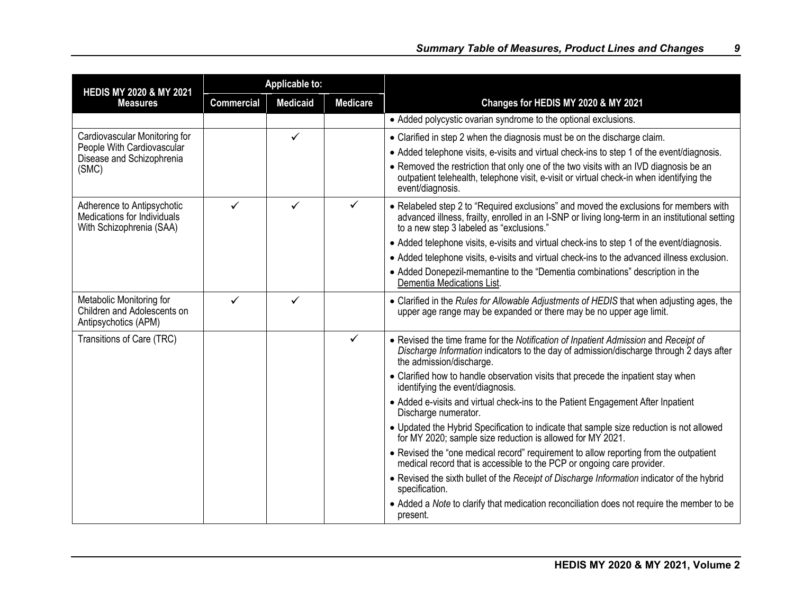| <b>HEDIS MY 2020 &amp; MY 2021</b>                                                    |                   | <b>Applicable to:</b> |                 |                                                                                                                                                                                                                                      |
|---------------------------------------------------------------------------------------|-------------------|-----------------------|-----------------|--------------------------------------------------------------------------------------------------------------------------------------------------------------------------------------------------------------------------------------|
| <b>Measures</b>                                                                       | <b>Commercial</b> | <b>Medicaid</b>       | <b>Medicare</b> | Changes for HEDIS MY 2020 & MY 2021                                                                                                                                                                                                  |
|                                                                                       |                   |                       |                 | • Added polycystic ovarian syndrome to the optional exclusions.                                                                                                                                                                      |
| Cardiovascular Monitoring for                                                         |                   | $\checkmark$          |                 | • Clarified in step 2 when the diagnosis must be on the discharge claim.                                                                                                                                                             |
| People With Cardiovascular<br>Disease and Schizophrenia                               |                   |                       |                 | • Added telephone visits, e-visits and virtual check-ins to step 1 of the event/diagnosis.                                                                                                                                           |
| (SMC)                                                                                 |                   |                       |                 | • Removed the restriction that only one of the two visits with an IVD diagnosis be an<br>outpatient telehealth, telephone visit, e-visit or virtual check-in when identifying the<br>event/diagnosis.                                |
| Adherence to Antipsychotic<br>Medications for Individuals<br>With Schizophrenia (SAA) | $\checkmark$      | ✓                     | $\checkmark$    | • Relabeled step 2 to "Required exclusions" and moved the exclusions for members with<br>advanced illness, frailty, enrolled in an I-SNP or living long-term in an institutional setting<br>to a new step 3 labeled as "exclusions." |
|                                                                                       |                   |                       |                 | • Added telephone visits, e-visits and virtual check-ins to step 1 of the event/diagnosis.                                                                                                                                           |
|                                                                                       |                   |                       |                 | • Added telephone visits, e-visits and virtual check-ins to the advanced illness exclusion.                                                                                                                                          |
|                                                                                       |                   |                       |                 | • Added Donepezil-memantine to the "Dementia combinations" description in the<br>Dementia Medications List.                                                                                                                          |
| Metabolic Monitoring for<br>Children and Adolescents on<br>Antipsychotics (APM)       | $\checkmark$      | ✓                     |                 | • Clarified in the Rules for Allowable Adjustments of HEDIS that when adjusting ages, the<br>upper age range may be expanded or there may be no upper age limit.                                                                     |
| Transitions of Care (TRC)                                                             |                   |                       | $\checkmark$    | • Revised the time frame for the Notification of Inpatient Admission and Receipt of<br>Discharge Information indicators to the day of admission/discharge through 2 days after<br>the admission/discharge.                           |
|                                                                                       |                   |                       |                 | • Clarified how to handle observation visits that precede the inpatient stay when<br>identifying the event/diagnosis.                                                                                                                |
|                                                                                       |                   |                       |                 | • Added e-visits and virtual check-ins to the Patient Engagement After Inpatient<br>Discharge numerator.                                                                                                                             |
|                                                                                       |                   |                       |                 | • Updated the Hybrid Specification to indicate that sample size reduction is not allowed<br>for MY 2020; sample size reduction is allowed for MY 2021.                                                                               |
|                                                                                       |                   |                       |                 | • Revised the "one medical record" requirement to allow reporting from the outpatient<br>medical record that is accessible to the PCP or ongoing care provider.                                                                      |
|                                                                                       |                   |                       |                 | • Revised the sixth bullet of the Receipt of Discharge Information indicator of the hybrid<br>specification.                                                                                                                         |
|                                                                                       |                   |                       |                 | • Added a Note to clarify that medication reconciliation does not require the member to be<br>present.                                                                                                                               |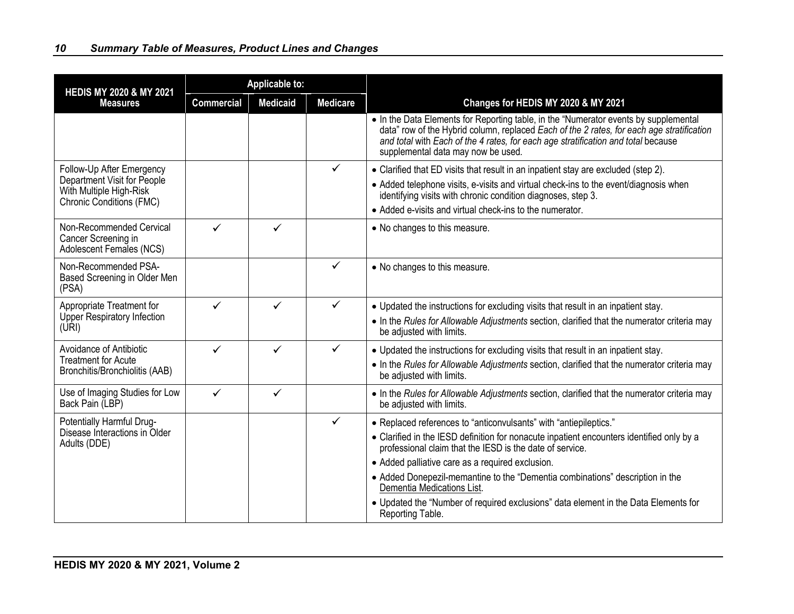| <b>HEDIS MY 2020 &amp; MY 2021</b>                                                                                     |                   | <b>Applicable to:</b> |                 |                                                                                                                                                                                                                                                                                                                                                                                                                                                                                                          |
|------------------------------------------------------------------------------------------------------------------------|-------------------|-----------------------|-----------------|----------------------------------------------------------------------------------------------------------------------------------------------------------------------------------------------------------------------------------------------------------------------------------------------------------------------------------------------------------------------------------------------------------------------------------------------------------------------------------------------------------|
| <b>Measures</b>                                                                                                        | <b>Commercial</b> | <b>Medicaid</b>       | <b>Medicare</b> | Changes for HEDIS MY 2020 & MY 2021                                                                                                                                                                                                                                                                                                                                                                                                                                                                      |
|                                                                                                                        |                   |                       |                 | • In the Data Elements for Reporting table, in the "Numerator events by supplemental<br>data" row of the Hybrid column, replaced Each of the 2 rates, for each age stratification<br>and total with Each of the 4 rates, for each age stratification and total because<br>supplemental data may now be used.                                                                                                                                                                                             |
| Follow-Up After Emergency<br>Department Visit for People<br>With Multiple High-Risk<br><b>Chronic Conditions (FMC)</b> |                   |                       | $\checkmark$    | • Clarified that ED visits that result in an inpatient stay are excluded (step 2).<br>• Added telephone visits, e-visits and virtual check-ins to the event/diagnosis when<br>identifying visits with chronic condition diagnoses, step 3.<br>• Added e-visits and virtual check-ins to the numerator.                                                                                                                                                                                                   |
| Non-Recommended Cervical<br>Cancer Screening in<br>Adolescent Females (NCS)                                            | $\checkmark$      | ✓                     |                 | • No changes to this measure.                                                                                                                                                                                                                                                                                                                                                                                                                                                                            |
| Non-Recommended PSA-<br>Based Screening in Older Men<br>(PSA)                                                          |                   |                       | $\checkmark$    | • No changes to this measure.                                                                                                                                                                                                                                                                                                                                                                                                                                                                            |
| Appropriate Treatment for<br><b>Upper Respiratory Infection</b><br>(URI)                                               | ✓                 | ✓                     | $\checkmark$    | • Updated the instructions for excluding visits that result in an inpatient stay.<br>• In the Rules for Allowable Adjustments section, clarified that the numerator criteria may<br>be adjusted with limits.                                                                                                                                                                                                                                                                                             |
| Avoidance of Antibiotic<br><b>Treatment for Acute</b><br>Bronchitis/Bronchiolitis (AAB)                                | ✓                 |                       | $\checkmark$    | • Updated the instructions for excluding visits that result in an inpatient stay.<br>• In the Rules for Allowable Adjustments section, clarified that the numerator criteria may<br>be adjusted with limits.                                                                                                                                                                                                                                                                                             |
| Use of Imaging Studies for Low<br>Back Pain (LBP)                                                                      | ✓                 | ✓                     |                 | • In the Rules for Allowable Adjustments section, clarified that the numerator criteria may<br>be adjusted with limits.                                                                                                                                                                                                                                                                                                                                                                                  |
| Potentially Harmful Drug-<br>Disease Interactions in Older<br>Adults (DDE)                                             |                   |                       | $\checkmark$    | • Replaced references to "anticonvulsants" with "antiepileptics."<br>• Clarified in the IESD definition for nonacute inpatient encounters identified only by a<br>professional claim that the IESD is the date of service.<br>• Added palliative care as a required exclusion.<br>• Added Donepezil-memantine to the "Dementia combinations" description in the<br>Dementia Medications List.<br>• Updated the "Number of required exclusions" data element in the Data Elements for<br>Reporting Table. |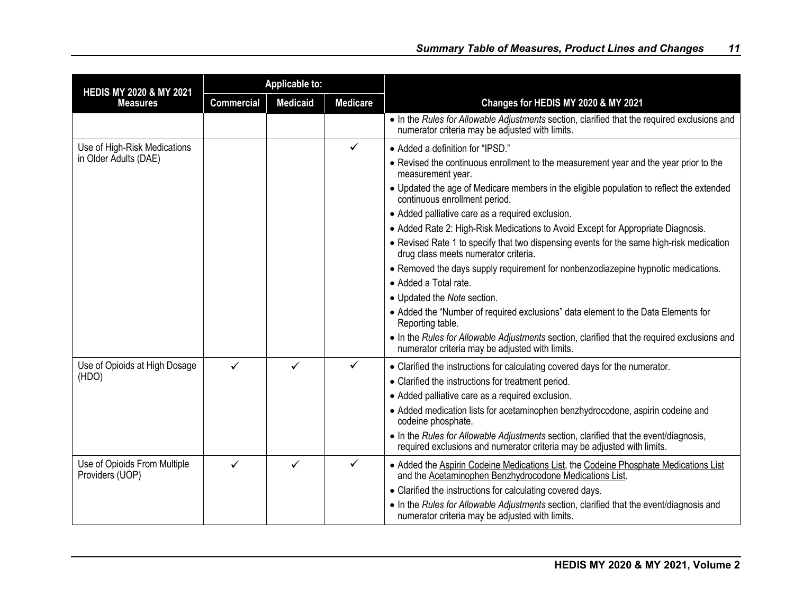| <b>HEDIS MY 2020 &amp; MY 2021</b>              | <b>Applicable to:</b> |                 |                 |                                                                                                                                                                  |  |
|-------------------------------------------------|-----------------------|-----------------|-----------------|------------------------------------------------------------------------------------------------------------------------------------------------------------------|--|
| <b>Measures</b>                                 | <b>Commercial</b>     | <b>Medicaid</b> | <b>Medicare</b> | Changes for HEDIS MY 2020 & MY 2021                                                                                                                              |  |
|                                                 |                       |                 |                 | • In the Rules for Allowable Adjustments section, clarified that the required exclusions and<br>numerator criteria may be adjusted with limits.                  |  |
| Use of High-Risk Medications                    |                       |                 | ✓               | • Added a definition for "IPSD."                                                                                                                                 |  |
| in Older Adults (DAE)                           |                       |                 |                 | • Revised the continuous enrollment to the measurement year and the year prior to the<br>measurement year.                                                       |  |
|                                                 |                       |                 |                 | • Updated the age of Medicare members in the eligible population to reflect the extended<br>continuous enrollment period.                                        |  |
|                                                 |                       |                 |                 | · Added palliative care as a required exclusion.                                                                                                                 |  |
|                                                 |                       |                 |                 | • Added Rate 2: High-Risk Medications to Avoid Except for Appropriate Diagnosis.                                                                                 |  |
|                                                 |                       |                 |                 | • Revised Rate 1 to specify that two dispensing events for the same high-risk medication<br>drug class meets numerator criteria.                                 |  |
|                                                 |                       |                 |                 | • Removed the days supply requirement for nonbenzodiazepine hypnotic medications.                                                                                |  |
|                                                 |                       |                 |                 | • Added a Total rate.                                                                                                                                            |  |
|                                                 |                       |                 |                 | • Updated the Note section.                                                                                                                                      |  |
|                                                 |                       |                 |                 | • Added the "Number of required exclusions" data element to the Data Elements for<br>Reporting table.                                                            |  |
|                                                 |                       |                 |                 | • In the Rules for Allowable Adjustments section, clarified that the required exclusions and<br>numerator criteria may be adjusted with limits.                  |  |
| Use of Opioids at High Dosage                   | $\checkmark$          | $\checkmark$    | ✓               | • Clarified the instructions for calculating covered days for the numerator.                                                                                     |  |
| (HDO)                                           |                       |                 |                 | • Clarified the instructions for treatment period.                                                                                                               |  |
|                                                 |                       |                 |                 | • Added palliative care as a required exclusion.                                                                                                                 |  |
|                                                 |                       |                 |                 | • Added medication lists for acetaminophen benzhydrocodone, aspirin codeine and<br>codeine phosphate.                                                            |  |
|                                                 |                       |                 |                 | • In the Rules for Allowable Adjustments section, clarified that the event/diagnosis,<br>required exclusions and numerator criteria may be adjusted with limits. |  |
| Use of Opioids From Multiple<br>Providers (UOP) | $\checkmark$          | $\checkmark$    | $\checkmark$    | • Added the Aspirin Codeine Medications List, the Codeine Phosphate Medications List<br>and the Acetaminophen Benzhydrocodone Medications List.                  |  |
|                                                 |                       |                 |                 | • Clarified the instructions for calculating covered days.                                                                                                       |  |
|                                                 |                       |                 |                 | • In the Rules for Allowable Adjustments section, clarified that the event/diagnosis and<br>numerator criteria may be adjusted with limits.                      |  |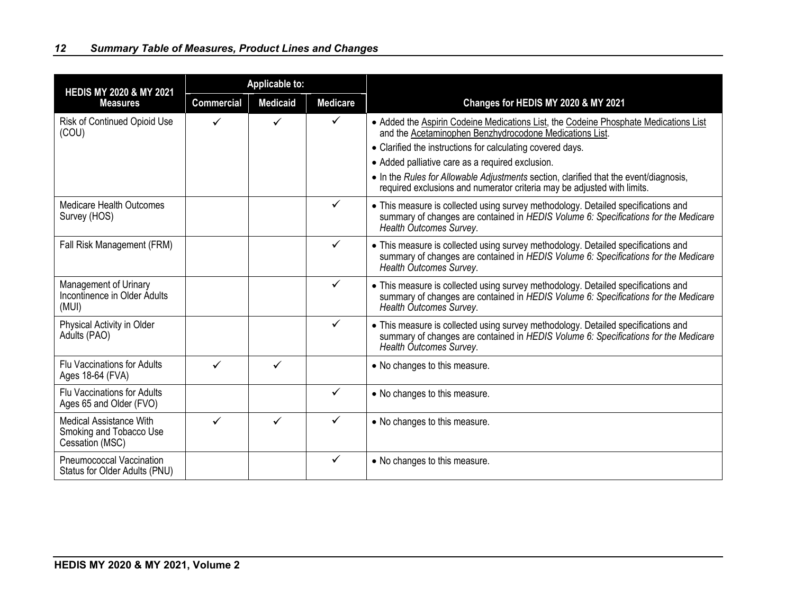| <b>HEDIS MY 2020 &amp; MY 2021</b>                                           |                   | <b>Applicable to:</b> |                 |                                                                                                                                                                                                                                                                                                                                                                                                                                       |
|------------------------------------------------------------------------------|-------------------|-----------------------|-----------------|---------------------------------------------------------------------------------------------------------------------------------------------------------------------------------------------------------------------------------------------------------------------------------------------------------------------------------------------------------------------------------------------------------------------------------------|
| <b>Measures</b>                                                              | <b>Commercial</b> | <b>Medicaid</b>       | <b>Medicare</b> | Changes for HEDIS MY 2020 & MY 2021                                                                                                                                                                                                                                                                                                                                                                                                   |
| Risk of Continued Opioid Use<br>(COU)                                        | ✓                 |                       | $\checkmark$    | • Added the Aspirin Codeine Medications List, the Codeine Phosphate Medications List<br>and the Acetaminophen Benzhydrocodone Medications List.<br>• Clarified the instructions for calculating covered days.<br>• Added palliative care as a required exclusion.<br>• In the Rules for Allowable Adjustments section, clarified that the event/diagnosis,<br>required exclusions and numerator criteria may be adjusted with limits. |
| <b>Medicare Health Outcomes</b><br>Survey (HOS)                              |                   |                       | $\checkmark$    | • This measure is collected using survey methodology. Detailed specifications and<br>summary of changes are contained in HEDIS Volume 6: Specifications for the Medicare<br>Health Outcomes Survey.                                                                                                                                                                                                                                   |
| Fall Risk Management (FRM)                                                   |                   |                       | ✓               | • This measure is collected using survey methodology. Detailed specifications and<br>summary of changes are contained in HEDIS Volume 6: Specifications for the Medicare<br>Health Outcomes Survey.                                                                                                                                                                                                                                   |
| Management of Urinary<br>Incontinence in Older Adults<br>(MUI)               |                   |                       | $\checkmark$    | • This measure is collected using survey methodology. Detailed specifications and<br>summary of changes are contained in HEDIS Volume 6: Specifications for the Medicare<br>Health Outcomes Survey.                                                                                                                                                                                                                                   |
| Physical Activity in Older<br>Adults (PAO)                                   |                   |                       | $\checkmark$    | • This measure is collected using survey methodology. Detailed specifications and<br>summary of changes are contained in HEDIS Volume 6: Specifications for the Medicare<br>Health Outcomes Survey.                                                                                                                                                                                                                                   |
| <b>Flu Vaccinations for Adults</b><br>Ages 18-64 (FVA)                       | ✓                 | ✓                     |                 | • No changes to this measure.                                                                                                                                                                                                                                                                                                                                                                                                         |
| <b>Flu Vaccinations for Adults</b><br>Ages 65 and Older (FVO)                |                   |                       | ✓               | • No changes to this measure.                                                                                                                                                                                                                                                                                                                                                                                                         |
| <b>Medical Assistance With</b><br>Smoking and Tobacco Use<br>Cessation (MSC) | ✓                 | ✓                     | $\checkmark$    | • No changes to this measure.                                                                                                                                                                                                                                                                                                                                                                                                         |
| Pneumococcal Vaccination<br>Status for Older Adults (PNU)                    |                   |                       | $\checkmark$    | • No changes to this measure.                                                                                                                                                                                                                                                                                                                                                                                                         |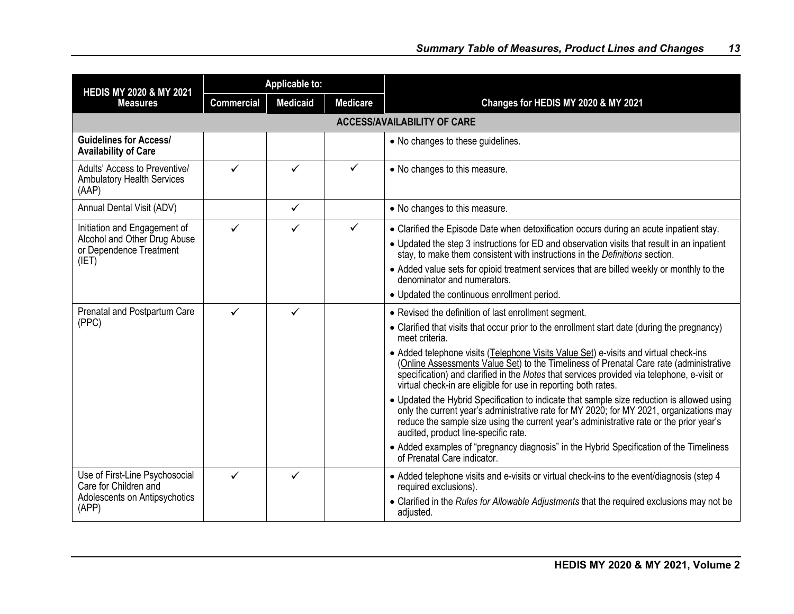| <b>HEDIS MY 2020 &amp; MY 2021</b>                                                                | <b>Applicable to:</b> |                 |                 |                                                                                                                                                                                                                                                                                                                                                                                                                                                                                                                                                                                                                                                                                                                                                                                                                                                                                                                                                                                |
|---------------------------------------------------------------------------------------------------|-----------------------|-----------------|-----------------|--------------------------------------------------------------------------------------------------------------------------------------------------------------------------------------------------------------------------------------------------------------------------------------------------------------------------------------------------------------------------------------------------------------------------------------------------------------------------------------------------------------------------------------------------------------------------------------------------------------------------------------------------------------------------------------------------------------------------------------------------------------------------------------------------------------------------------------------------------------------------------------------------------------------------------------------------------------------------------|
| <b>Measures</b>                                                                                   | <b>Commercial</b>     | <b>Medicaid</b> | <b>Medicare</b> | Changes for HEDIS MY 2020 & MY 2021                                                                                                                                                                                                                                                                                                                                                                                                                                                                                                                                                                                                                                                                                                                                                                                                                                                                                                                                            |
|                                                                                                   |                       |                 |                 | <b>ACCESS/AVAILABILITY OF CARE</b>                                                                                                                                                                                                                                                                                                                                                                                                                                                                                                                                                                                                                                                                                                                                                                                                                                                                                                                                             |
| <b>Guidelines for Access/</b><br><b>Availability of Care</b>                                      |                       |                 |                 | • No changes to these guidelines.                                                                                                                                                                                                                                                                                                                                                                                                                                                                                                                                                                                                                                                                                                                                                                                                                                                                                                                                              |
| Adults' Access to Preventive/<br><b>Ambulatory Health Services</b><br>(AAP)                       | $\checkmark$          | ✓               | ✓               | • No changes to this measure.                                                                                                                                                                                                                                                                                                                                                                                                                                                                                                                                                                                                                                                                                                                                                                                                                                                                                                                                                  |
| Annual Dental Visit (ADV)                                                                         |                       | ✓               |                 | • No changes to this measure.                                                                                                                                                                                                                                                                                                                                                                                                                                                                                                                                                                                                                                                                                                                                                                                                                                                                                                                                                  |
| Initiation and Engagement of<br>Alcohol and Other Drug Abuse<br>or Dependence Treatment<br>(IET)  | $\checkmark$          | ✓               | $\checkmark$    | • Clarified the Episode Date when detoxification occurs during an acute inpatient stay.<br>• Updated the step 3 instructions for ED and observation visits that result in an inpatient<br>stay, to make them consistent with instructions in the Definitions section.<br>• Added value sets for opioid treatment services that are billed weekly or monthly to the<br>denominator and numerators.<br>• Updated the continuous enrollment period.                                                                                                                                                                                                                                                                                                                                                                                                                                                                                                                               |
| Prenatal and Postpartum Care<br>(PPC)                                                             | $\checkmark$          | ✓               |                 | • Revised the definition of last enrollment segment.<br>• Clarified that visits that occur prior to the enrollment start date (during the pregnancy)<br>meet criteria.<br>• Added telephone visits (Telephone Visits Value Set) e-visits and virtual check-ins<br>(Online Assessments Value Set) to the Timeliness of Prenatal Care rate (administrative<br>specification) and clarified in the Notes that services provided via telephone, e-visit or<br>virtual check-in are eligible for use in reporting both rates.<br>• Updated the Hybrid Specification to indicate that sample size reduction is allowed using<br>only the current year's administrative rate for MY 2020; for MY 2021, organizations may<br>reduce the sample size using the current year's administrative rate or the prior year's<br>audited, product line-specific rate.<br>• Added examples of "pregnancy diagnosis" in the Hybrid Specification of the Timeliness<br>of Prenatal Care indicator. |
| Use of First-Line Psychosocial<br>Care for Children and<br>Adolescents on Antipsychotics<br>(APP) | ✓                     | ✓               |                 | • Added telephone visits and e-visits or virtual check-ins to the event/diagnosis (step 4<br>required exclusions).<br>• Clarified in the Rules for Allowable Adjustments that the required exclusions may not be<br>adjusted.                                                                                                                                                                                                                                                                                                                                                                                                                                                                                                                                                                                                                                                                                                                                                  |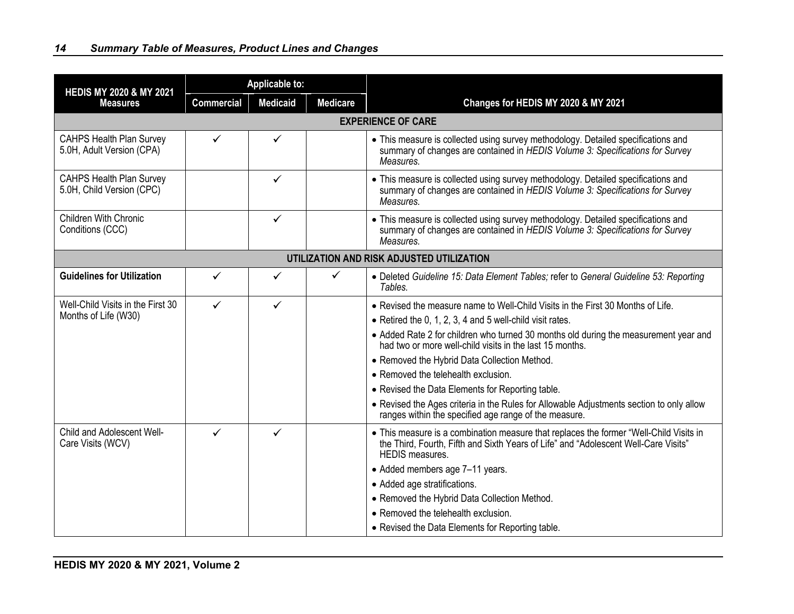| <b>HEDIS MY 2020 &amp; MY 2021</b>                           | <b>Applicable to:</b> |                 |                 |                                                                                                                                                                                                                                                                                                                                                                                                                                                                                                                                                                                                          |
|--------------------------------------------------------------|-----------------------|-----------------|-----------------|----------------------------------------------------------------------------------------------------------------------------------------------------------------------------------------------------------------------------------------------------------------------------------------------------------------------------------------------------------------------------------------------------------------------------------------------------------------------------------------------------------------------------------------------------------------------------------------------------------|
| <b>Measures</b>                                              | <b>Commercial</b>     | <b>Medicaid</b> | <b>Medicare</b> | Changes for HEDIS MY 2020 & MY 2021                                                                                                                                                                                                                                                                                                                                                                                                                                                                                                                                                                      |
|                                                              |                       |                 |                 | <b>EXPERIENCE OF CARE</b>                                                                                                                                                                                                                                                                                                                                                                                                                                                                                                                                                                                |
| <b>CAHPS Health Plan Survey</b><br>5.0H, Adult Version (CPA) | ✓                     | ✓               |                 | • This measure is collected using survey methodology. Detailed specifications and<br>summary of changes are contained in HEDIS Volume 3: Specifications for Survey<br>Measures.                                                                                                                                                                                                                                                                                                                                                                                                                          |
| <b>CAHPS Health Plan Survey</b><br>5.0H, Child Version (CPC) |                       | $\checkmark$    |                 | • This measure is collected using survey methodology. Detailed specifications and<br>summary of changes are contained in HEDIS Volume 3: Specifications for Survey<br>Measures.                                                                                                                                                                                                                                                                                                                                                                                                                          |
| <b>Children With Chronic</b><br>Conditions (CCC)             |                       | ✓               |                 | • This measure is collected using survey methodology. Detailed specifications and<br>summary of changes are contained in HEDIS Volume 3: Specifications for Survey<br>Measures.                                                                                                                                                                                                                                                                                                                                                                                                                          |
|                                                              |                       |                 |                 | UTILIZATION AND RISK ADJUSTED UTILIZATION                                                                                                                                                                                                                                                                                                                                                                                                                                                                                                                                                                |
| <b>Guidelines for Utilization</b>                            | ✓                     | ✓               | ✓               | • Deleted Guideline 15: Data Element Tables; refer to General Guideline 53: Reporting<br>Tables.                                                                                                                                                                                                                                                                                                                                                                                                                                                                                                         |
| Well-Child Visits in the First 30<br>Months of Life (W30)    | ✓                     | ✓               |                 | • Revised the measure name to Well-Child Visits in the First 30 Months of Life.<br>$\bullet$ Retired the 0, 1, 2, 3, 4 and 5 well-child visit rates.<br>• Added Rate 2 for children who turned 30 months old during the measurement year and<br>had two or more well-child visits in the last 15 months.<br>• Removed the Hybrid Data Collection Method.<br>• Removed the telehealth exclusion.<br>• Revised the Data Elements for Reporting table.<br>• Revised the Ages criteria in the Rules for Allowable Adjustments section to only allow<br>ranges within the specified age range of the measure. |
| Child and Adolescent Well-<br>Care Visits (WCV)              | $\checkmark$          | ✓               |                 | • This measure is a combination measure that replaces the former "Well-Child Visits in<br>the Third, Fourth, Fifth and Sixth Years of Life" and "Adolescent Well-Care Visits"<br><b>HEDIS</b> measures.<br>• Added members age 7-11 years.<br>• Added age stratifications.<br>• Removed the Hybrid Data Collection Method.<br>• Removed the telehealth exclusion.<br>• Revised the Data Elements for Reporting table.                                                                                                                                                                                    |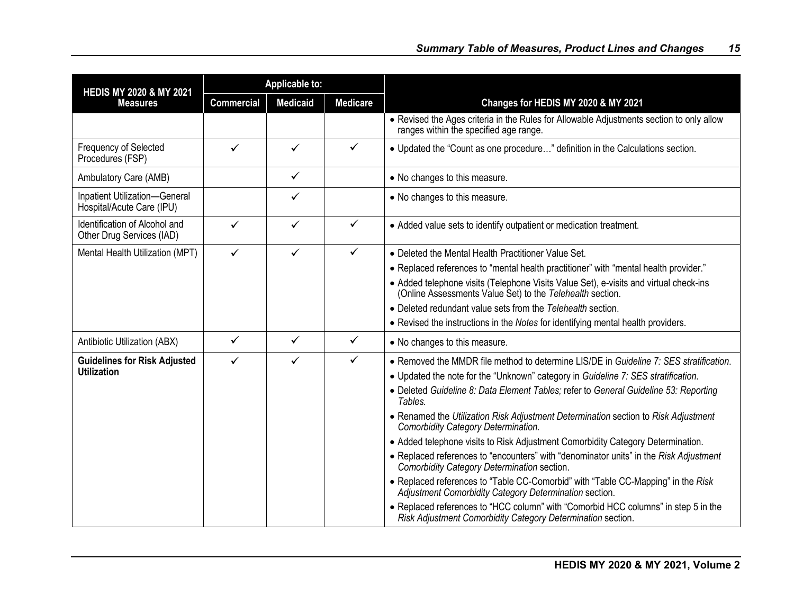| <b>HEDIS MY 2020 &amp; MY 2021</b>                         | <b>Applicable to:</b> |                 |                 |                                                                                                                                                                                                                                                                                                                                                                                                                                                                                                                                                                                                                                                                                                                                                                                                                                                                                                                                           |
|------------------------------------------------------------|-----------------------|-----------------|-----------------|-------------------------------------------------------------------------------------------------------------------------------------------------------------------------------------------------------------------------------------------------------------------------------------------------------------------------------------------------------------------------------------------------------------------------------------------------------------------------------------------------------------------------------------------------------------------------------------------------------------------------------------------------------------------------------------------------------------------------------------------------------------------------------------------------------------------------------------------------------------------------------------------------------------------------------------------|
| <b>Measures</b>                                            | <b>Commercial</b>     | <b>Medicaid</b> | <b>Medicare</b> | Changes for HEDIS MY 2020 & MY 2021                                                                                                                                                                                                                                                                                                                                                                                                                                                                                                                                                                                                                                                                                                                                                                                                                                                                                                       |
|                                                            |                       |                 |                 | • Revised the Ages criteria in the Rules for Allowable Adjustments section to only allow<br>ranges within the specified age range.                                                                                                                                                                                                                                                                                                                                                                                                                                                                                                                                                                                                                                                                                                                                                                                                        |
| <b>Frequency of Selected</b><br>Procedures (FSP)           | $\checkmark$          | $\checkmark$    | $\checkmark$    | • Updated the "Count as one procedure" definition in the Calculations section.                                                                                                                                                                                                                                                                                                                                                                                                                                                                                                                                                                                                                                                                                                                                                                                                                                                            |
| Ambulatory Care (AMB)                                      |                       | $\checkmark$    |                 | • No changes to this measure.                                                                                                                                                                                                                                                                                                                                                                                                                                                                                                                                                                                                                                                                                                                                                                                                                                                                                                             |
| Inpatient Utilization-General<br>Hospital/Acute Care (IPU) |                       | $\checkmark$    |                 | • No changes to this measure.                                                                                                                                                                                                                                                                                                                                                                                                                                                                                                                                                                                                                                                                                                                                                                                                                                                                                                             |
| Identification of Alcohol and<br>Other Drug Services (IAD) | $\checkmark$          | $\checkmark$    | $\checkmark$    | • Added value sets to identify outpatient or medication treatment.                                                                                                                                                                                                                                                                                                                                                                                                                                                                                                                                                                                                                                                                                                                                                                                                                                                                        |
| Mental Health Utilization (MPT)                            | $\checkmark$          | $\checkmark$    | $\checkmark$    | • Deleted the Mental Health Practitioner Value Set.<br>• Replaced references to "mental health practitioner" with "mental health provider."<br>• Added telephone visits (Telephone Visits Value Set), e-visits and virtual check-ins<br>(Online Assessments Value Set) to the Telehealth section.<br>• Deleted redundant value sets from the Telehealth section.<br>• Revised the instructions in the Notes for identifying mental health providers.                                                                                                                                                                                                                                                                                                                                                                                                                                                                                      |
| Antibiotic Utilization (ABX)                               | $\checkmark$          | $\checkmark$    | $\checkmark$    | • No changes to this measure.                                                                                                                                                                                                                                                                                                                                                                                                                                                                                                                                                                                                                                                                                                                                                                                                                                                                                                             |
| <b>Guidelines for Risk Adjusted</b><br><b>Utilization</b>  | ✓                     | $\checkmark$    | $\checkmark$    | • Removed the MMDR file method to determine LIS/DE in Guideline 7: SES stratification.<br>• Updated the note for the "Unknown" category in Guideline 7: SES stratification.<br>• Deleted Guideline 8: Data Element Tables; refer to General Guideline 53: Reporting<br>Tables.<br>• Renamed the Utilization Risk Adjustment Determination section to Risk Adjustment<br>Comorbidity Category Determination.<br>• Added telephone visits to Risk Adjustment Comorbidity Category Determination.<br>• Replaced references to "encounters" with "denominator units" in the Risk Adjustment<br>Comorbidity Category Determination section.<br>• Replaced references to "Table CC-Comorbid" with "Table CC-Mapping" in the Risk<br>Adjustment Comorbidity Category Determination section.<br>• Replaced references to "HCC column" with "Comorbid HCC columns" in step 5 in the<br>Risk Adjustment Comorbidity Category Determination section. |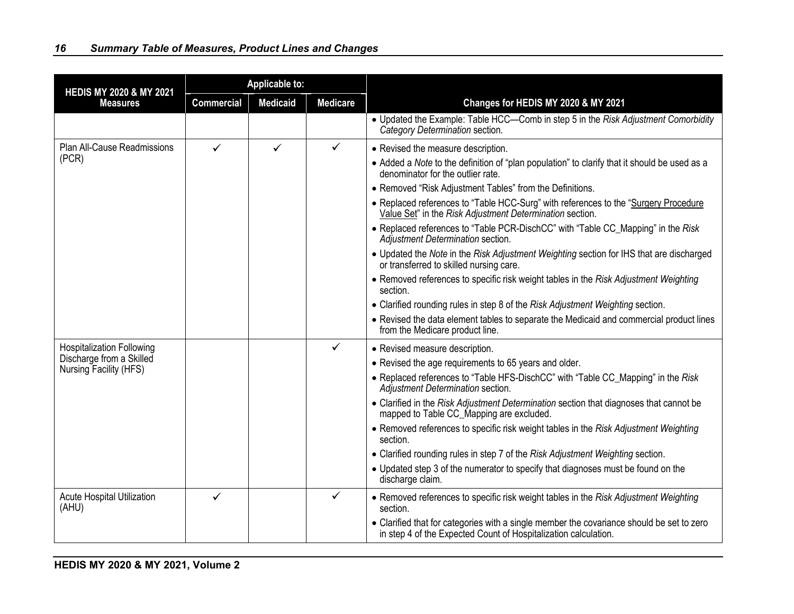| <b>HEDIS MY 2020 &amp; MY 2021</b>                                                     | <b>Applicable to:</b> |                 |                 |                                                                                                                                                              |
|----------------------------------------------------------------------------------------|-----------------------|-----------------|-----------------|--------------------------------------------------------------------------------------------------------------------------------------------------------------|
| <b>Measures</b>                                                                        | <b>Commercial</b>     | <b>Medicaid</b> | <b>Medicare</b> | Changes for HEDIS MY 2020 & MY 2021                                                                                                                          |
|                                                                                        |                       |                 |                 | • Updated the Example: Table HCC-Comb in step 5 in the Risk Adjustment Comorbidity<br>Category Determination section.                                        |
| Plan All-Cause Readmissions                                                            | ✓                     | ✓               | ✓               | • Revised the measure description.                                                                                                                           |
| (PCR)                                                                                  |                       |                 |                 | • Added a Note to the definition of "plan population" to clarify that it should be used as a<br>denominator for the outlier rate.                            |
|                                                                                        |                       |                 |                 | • Removed "Risk Adjustment Tables" from the Definitions.                                                                                                     |
|                                                                                        |                       |                 |                 | • Replaced references to "Table HCC-Surg" with references to the "Surgery Procedure<br>Value Set" in the Risk Adjustment Determination section.              |
|                                                                                        |                       |                 |                 | • Replaced references to "Table PCR-DischCC" with "Table CC_Mapping" in the Risk<br>Adjustment Determination section.                                        |
|                                                                                        |                       |                 |                 | • Updated the Note in the Risk Adjustment Weighting section for IHS that are discharged<br>or transferred to skilled nursing care.                           |
|                                                                                        |                       |                 |                 | • Removed references to specific risk weight tables in the Risk Adjustment Weighting<br>section.                                                             |
|                                                                                        |                       |                 |                 | • Clarified rounding rules in step 8 of the Risk Adjustment Weighting section.                                                                               |
|                                                                                        |                       |                 |                 | • Revised the data element tables to separate the Medicaid and commercial product lines<br>from the Medicare product line.                                   |
| <b>Hospitalization Following</b><br>Discharge from a Skilled<br>Nursing Facility (HFS) |                       |                 | $\checkmark$    | • Revised measure description.                                                                                                                               |
|                                                                                        |                       |                 |                 | • Revised the age requirements to 65 years and older.                                                                                                        |
|                                                                                        |                       |                 |                 | • Replaced references to "Table HFS-DischCC" with "Table CC_Mapping" in the Risk<br>Adjustment Determination section.                                        |
|                                                                                        |                       |                 |                 | • Clarified in the Risk Adjustment Determination section that diagnoses that cannot be<br>mapped to Table CC_Mapping are excluded.                           |
|                                                                                        |                       |                 |                 | • Removed references to specific risk weight tables in the Risk Adjustment Weighting<br>section.                                                             |
|                                                                                        |                       |                 |                 | • Clarified rounding rules in step 7 of the Risk Adjustment Weighting section.                                                                               |
|                                                                                        |                       |                 |                 | • Updated step 3 of the numerator to specify that diagnoses must be found on the<br>discharge claim.                                                         |
| Acute Hospital Utilization<br>(AHU)                                                    | ✓                     |                 | $\checkmark$    | • Removed references to specific risk weight tables in the Risk Adjustment Weighting<br>section.                                                             |
|                                                                                        |                       |                 |                 | • Clarified that for categories with a single member the covariance should be set to zero<br>in step 4 of the Expected Count of Hospitalization calculation. |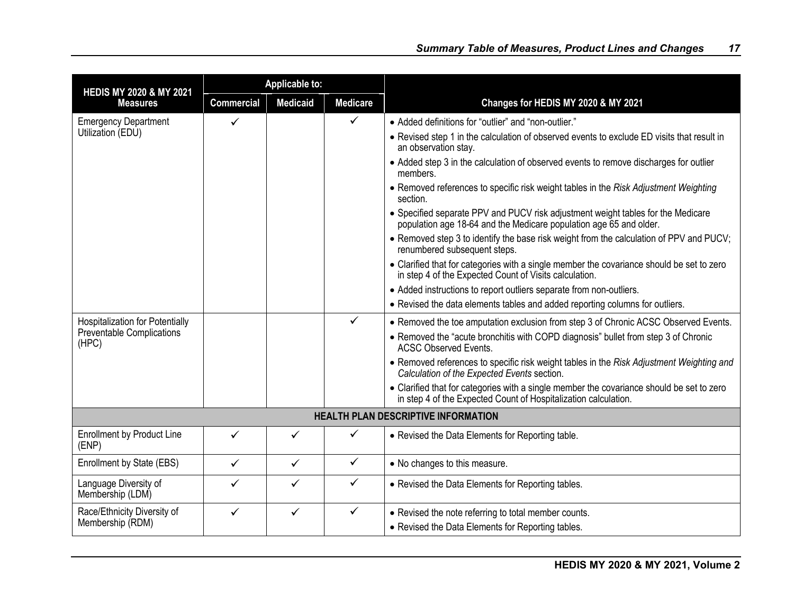| <b>HEDIS MY 2020 &amp; MY 2021</b>         | <b>Applicable to:</b> |                 |                 |                                                                                                                                                              |
|--------------------------------------------|-----------------------|-----------------|-----------------|--------------------------------------------------------------------------------------------------------------------------------------------------------------|
| <b>Measures</b>                            | <b>Commercial</b>     | <b>Medicaid</b> | <b>Medicare</b> | Changes for HEDIS MY 2020 & MY 2021                                                                                                                          |
| <b>Emergency Department</b>                | $\checkmark$          |                 | $\checkmark$    | • Added definitions for "outlier" and "non-outlier."                                                                                                         |
| Utilization (EDU)                          |                       |                 |                 | • Revised step 1 in the calculation of observed events to exclude ED visits that result in<br>an observation stay.                                           |
|                                            |                       |                 |                 | • Added step 3 in the calculation of observed events to remove discharges for outlier<br>members.                                                            |
|                                            |                       |                 |                 | • Removed references to specific risk weight tables in the Risk Adjustment Weighting<br>section.                                                             |
|                                            |                       |                 |                 | • Specified separate PPV and PUCV risk adjustment weight tables for the Medicare<br>population age 18-64 and the Medicare population age 65 and older.       |
|                                            |                       |                 |                 | • Removed step 3 to identify the base risk weight from the calculation of PPV and PUCV;<br>renumbered subsequent steps.                                      |
|                                            |                       |                 |                 | • Clarified that for categories with a single member the covariance should be set to zero<br>in step 4 of the Expected Count of Visits calculation.          |
|                                            |                       |                 |                 | • Added instructions to report outliers separate from non-outliers.                                                                                          |
|                                            |                       |                 |                 | • Revised the data elements tables and added reporting columns for outliers.                                                                                 |
| <b>Hospitalization for Potentially</b>     |                       |                 | $\checkmark$    | • Removed the toe amputation exclusion from step 3 of Chronic ACSC Observed Events.                                                                          |
| <b>Preventable Complications</b><br>(HPC)  |                       |                 |                 | • Removed the "acute bronchitis with COPD diagnosis" bullet from step 3 of Chronic<br><b>ACSC Observed Events.</b>                                           |
|                                            |                       |                 |                 | • Removed references to specific risk weight tables in the Risk Adjustment Weighting and<br>Calculation of the Expected Events section.                      |
|                                            |                       |                 |                 | • Clarified that for categories with a single member the covariance should be set to zero<br>in step 4 of the Expected Count of Hospitalization calculation. |
|                                            |                       |                 |                 | <b>HEALTH PLAN DESCRIPTIVE INFORMATION</b>                                                                                                                   |
| <b>Enrollment by Product Line</b><br>(ENP) | ✓                     | ✓               | ✓               | • Revised the Data Elements for Reporting table.                                                                                                             |
| Enrollment by State (EBS)                  | $\checkmark$          | $\checkmark$    | $\checkmark$    | • No changes to this measure.                                                                                                                                |
| Language Diversity of<br>Membership (LDM)  | ✓                     | ✓               | $\checkmark$    | • Revised the Data Elements for Reporting tables.                                                                                                            |
| Race/Ethnicity Diversity of                | $\checkmark$          | $\checkmark$    | $\checkmark$    | • Revised the note referring to total member counts.                                                                                                         |
| Membership (RDM)                           |                       |                 |                 | • Revised the Data Elements for Reporting tables.                                                                                                            |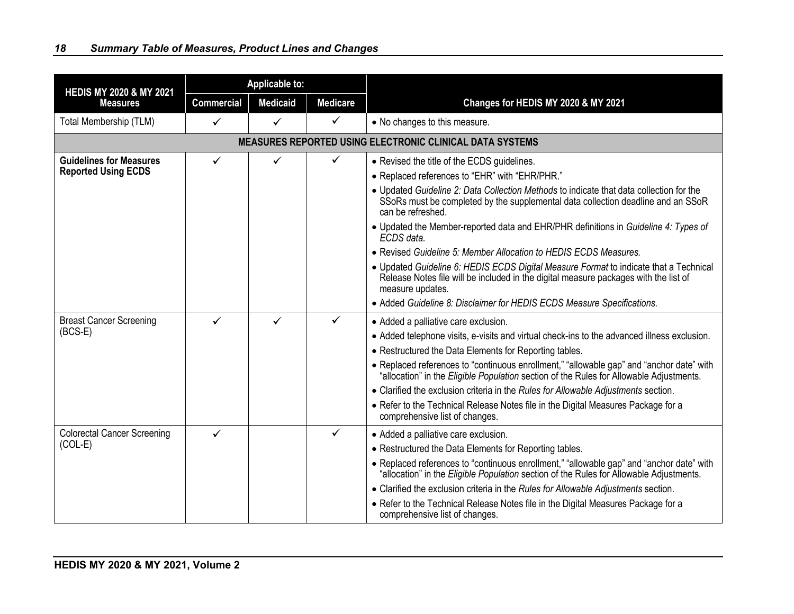| <b>HEDIS MY 2020 &amp; MY 2021</b> | <b>Applicable to:</b> |                 |                 |                                                                                                                                                                                                   |
|------------------------------------|-----------------------|-----------------|-----------------|---------------------------------------------------------------------------------------------------------------------------------------------------------------------------------------------------|
| <b>Measures</b>                    | <b>Commercial</b>     | <b>Medicaid</b> | <b>Medicare</b> | Changes for HEDIS MY 2020 & MY 2021                                                                                                                                                               |
| Total Membership (TLM)             | $\checkmark$          | ✓               | $\checkmark$    | • No changes to this measure.                                                                                                                                                                     |
|                                    |                       |                 |                 | <b>MEASURES REPORTED USING ELECTRONIC CLINICAL DATA SYSTEMS</b>                                                                                                                                   |
| <b>Guidelines for Measures</b>     | $\checkmark$          | $\checkmark$    | $\checkmark$    | • Revised the title of the ECDS guidelines.                                                                                                                                                       |
| <b>Reported Using ECDS</b>         |                       |                 |                 | • Replaced references to "EHR" with "EHR/PHR."                                                                                                                                                    |
|                                    |                       |                 |                 | . Updated Guideline 2: Data Collection Methods to indicate that data collection for the<br>SSoRs must be completed by the supplemental data collection deadline and an SSoR<br>can be refreshed.  |
|                                    |                       |                 |                 | • Updated the Member-reported data and EHR/PHR definitions in Guideline 4: Types of<br>ECDS data.                                                                                                 |
|                                    |                       |                 |                 | • Revised Guideline 5: Member Allocation to HEDIS ECDS Measures.                                                                                                                                  |
|                                    |                       |                 |                 | • Updated Guideline 6: HEDIS ECDS Digital Measure Format to indicate that a Technical<br>Release Notes file will be included in the digital measure packages with the list of<br>measure updates. |
|                                    |                       |                 |                 | • Added Guideline 8: Disclaimer for HEDIS ECDS Measure Specifications.                                                                                                                            |
| <b>Breast Cancer Screening</b>     | $\checkmark$          | ✓               | ✓               | • Added a palliative care exclusion.                                                                                                                                                              |
| $(BCS-E)$                          |                       |                 |                 | • Added telephone visits, e-visits and virtual check-ins to the advanced illness exclusion.                                                                                                       |
|                                    |                       |                 |                 | • Restructured the Data Elements for Reporting tables.                                                                                                                                            |
|                                    |                       |                 |                 | • Replaced references to "continuous enrollment," "allowable gap" and "anchor date" with<br>"allocation" in the Eligible Population section of the Rules for Allowable Adjustments.               |
|                                    |                       |                 |                 | • Clarified the exclusion criteria in the Rules for Allowable Adjustments section.                                                                                                                |
|                                    |                       |                 |                 | • Refer to the Technical Release Notes file in the Digital Measures Package for a<br>comprehensive list of changes.                                                                               |
| <b>Colorectal Cancer Screening</b> | ✓                     |                 | $\checkmark$    | • Added a palliative care exclusion.                                                                                                                                                              |
| $(COL-E)$                          |                       |                 |                 | • Restructured the Data Elements for Reporting tables.                                                                                                                                            |
|                                    |                       |                 |                 | • Replaced references to "continuous enrollment," "allowable gap" and "anchor date" with<br>"allocation" in the Eligible Population section of the Rules for Allowable Adjustments.               |
|                                    |                       |                 |                 | • Clarified the exclusion criteria in the Rules for Allowable Adjustments section.                                                                                                                |
|                                    |                       |                 |                 | • Refer to the Technical Release Notes file in the Digital Measures Package for a<br>comprehensive list of changes.                                                                               |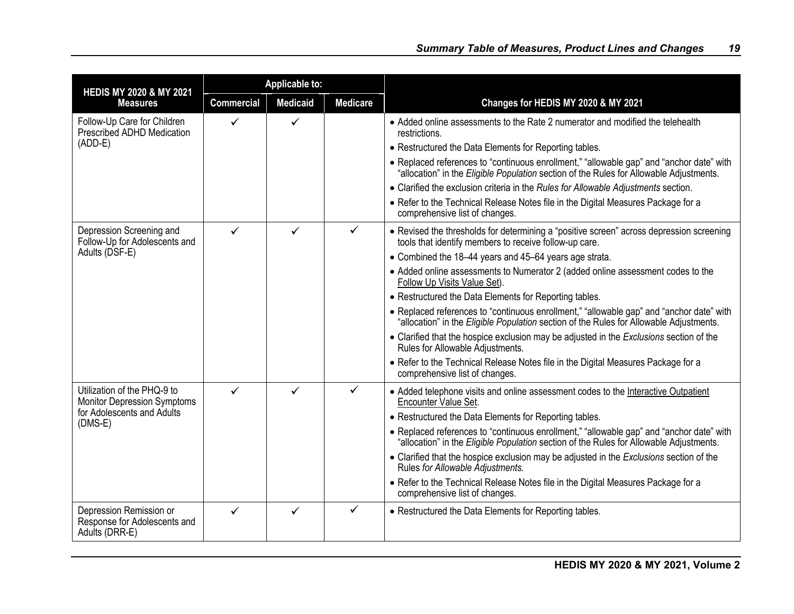| <b>HEDIS MY 2020 &amp; MY 2021</b>                                        | <b>Applicable to:</b> |                 |                 |                                                                                                                                                                                     |
|---------------------------------------------------------------------------|-----------------------|-----------------|-----------------|-------------------------------------------------------------------------------------------------------------------------------------------------------------------------------------|
| <b>Measures</b>                                                           | <b>Commercial</b>     | <b>Medicaid</b> | <b>Medicare</b> | Changes for HEDIS MY 2020 & MY 2021                                                                                                                                                 |
| Follow-Up Care for Children<br>Prescribed ADHD Medication<br>$(ADD-E)$    | ✓                     | ✓               |                 | • Added online assessments to the Rate 2 numerator and modified the telehealth<br>restrictions.                                                                                     |
|                                                                           |                       |                 |                 | • Restructured the Data Elements for Reporting tables.                                                                                                                              |
|                                                                           |                       |                 |                 | • Replaced references to "continuous enrollment," "allowable gap" and "anchor date" with<br>"allocation" in the Eligible Population section of the Rules for Allowable Adjustments. |
|                                                                           |                       |                 |                 | • Clarified the exclusion criteria in the Rules for Allowable Adjustments section.                                                                                                  |
|                                                                           |                       |                 |                 | • Refer to the Technical Release Notes file in the Digital Measures Package for a<br>comprehensive list of changes.                                                                 |
| Depression Screening and<br>Follow-Up for Adolescents and                 | ✓                     |                 | ✓               | • Revised the thresholds for determining a "positive screen" across depression screening<br>tools that identify members to receive follow-up care.                                  |
| Adults (DSF-E)                                                            |                       |                 |                 | • Combined the 18-44 years and 45-64 years age strata.                                                                                                                              |
|                                                                           |                       |                 |                 | • Added online assessments to Numerator 2 (added online assessment codes to the<br>Follow Up Visits Value Set).                                                                     |
|                                                                           |                       |                 |                 | • Restructured the Data Elements for Reporting tables.                                                                                                                              |
|                                                                           |                       |                 |                 | • Replaced references to "continuous enrollment," "allowable gap" and "anchor date" with<br>"allocation" in the Eligible Population section of the Rules for Allowable Adjustments. |
|                                                                           |                       |                 |                 | • Clarified that the hospice exclusion may be adjusted in the Exclusions section of the<br>Rules for Allowable Adjustments.                                                         |
|                                                                           |                       |                 |                 | • Refer to the Technical Release Notes file in the Digital Measures Package for a<br>comprehensive list of changes.                                                                 |
| Utilization of the PHQ-9 to<br><b>Monitor Depression Symptoms</b>         | ✓                     | ✓               | ✓               | • Added telephone visits and online assessment codes to the Interactive Outpatient<br>Encounter Value Set.                                                                          |
| for Adolescents and Adults<br>$(DMS-E)$                                   |                       |                 |                 | • Restructured the Data Elements for Reporting tables.                                                                                                                              |
|                                                                           |                       |                 |                 | • Replaced references to "continuous enrollment," "allowable gap" and "anchor date" with<br>"allocation" in the Eligible Population section of the Rules for Allowable Adjustments. |
|                                                                           |                       |                 |                 | • Clarified that the hospice exclusion may be adjusted in the Exclusions section of the<br>Rules for Allowable Adjustments.                                                         |
|                                                                           |                       |                 |                 | • Refer to the Technical Release Notes file in the Digital Measures Package for a<br>comprehensive list of changes.                                                                 |
| Depression Remission or<br>Response for Adolescents and<br>Adults (DRR-E) | ✓                     | ✓               | ✓               | • Restructured the Data Elements for Reporting tables.                                                                                                                              |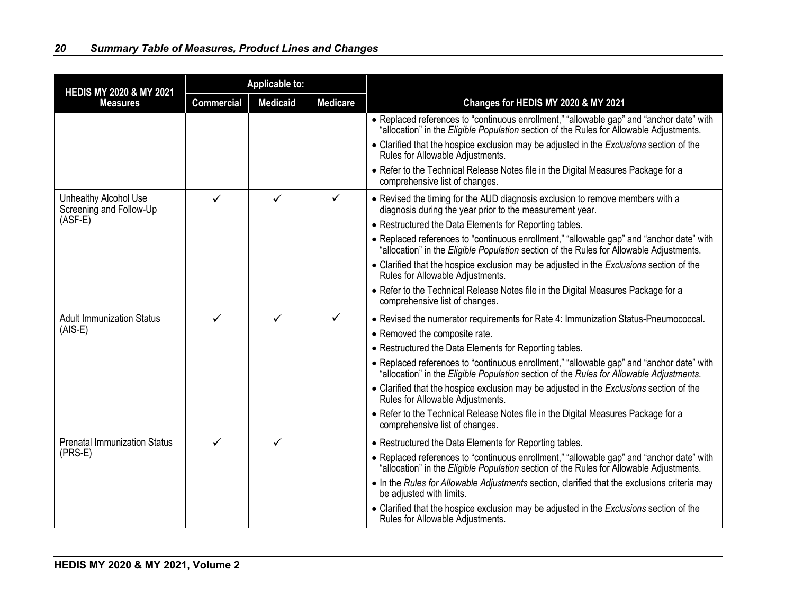| <b>HEDIS MY 2020 &amp; MY 2021</b><br><b>Measures</b>   | <b>Applicable to:</b> |                 |                 |                                                                                                                                                                                     |
|---------------------------------------------------------|-----------------------|-----------------|-----------------|-------------------------------------------------------------------------------------------------------------------------------------------------------------------------------------|
|                                                         | <b>Commercial</b>     | <b>Medicaid</b> | <b>Medicare</b> | Changes for HEDIS MY 2020 & MY 2021                                                                                                                                                 |
|                                                         |                       |                 |                 | • Replaced references to "continuous enrollment," "allowable gap" and "anchor date" with<br>"allocation" in the Eligible Population section of the Rules for Allowable Adjustments. |
|                                                         |                       |                 |                 | • Clarified that the hospice exclusion may be adjusted in the Exclusions section of the<br>Rules for Allowable Adjustments.                                                         |
|                                                         |                       |                 |                 | • Refer to the Technical Release Notes file in the Digital Measures Package for a<br>comprehensive list of changes.                                                                 |
| <b>Unhealthy Alcohol Use</b><br>Screening and Follow-Up | ✓                     | $\checkmark$    | $\checkmark$    | • Revised the timing for the AUD diagnosis exclusion to remove members with a<br>diagnosis during the year prior to the measurement year.                                           |
| $(ASF-E)$                                               |                       |                 |                 | • Restructured the Data Elements for Reporting tables.                                                                                                                              |
|                                                         |                       |                 |                 | • Replaced references to "continuous enrollment," "allowable gap" and "anchor date" with<br>"allocation" in the Eligible Population section of the Rules for Allowable Adjustments. |
|                                                         |                       |                 |                 | • Clarified that the hospice exclusion may be adjusted in the Exclusions section of the<br>Rules for Allowable Adjustments.                                                         |
|                                                         |                       |                 |                 | • Refer to the Technical Release Notes file in the Digital Measures Package for a<br>comprehensive list of changes.                                                                 |
| <b>Adult Immunization Status</b><br>$(AIS-E)$           | ✓                     | ✓               | ✓               | • Revised the numerator requirements for Rate 4: Immunization Status-Pneumococcal.                                                                                                  |
|                                                         |                       |                 |                 | • Removed the composite rate.                                                                                                                                                       |
|                                                         |                       |                 |                 | • Restructured the Data Elements for Reporting tables.                                                                                                                              |
|                                                         |                       |                 |                 | • Replaced references to "continuous enrollment," "allowable gap" and "anchor date" with<br>"allocation" in the Eligible Population section of the Rules for Allowable Adjustments. |
|                                                         |                       |                 |                 | • Clarified that the hospice exclusion may be adjusted in the Exclusions section of the<br>Rules for Allowable Adjustments.                                                         |
|                                                         |                       |                 |                 | • Refer to the Technical Release Notes file in the Digital Measures Package for a<br>comprehensive list of changes.                                                                 |
| <b>Prenatal Immunization Status</b>                     | ✓                     | $\checkmark$    |                 | • Restructured the Data Elements for Reporting tables.                                                                                                                              |
| $(PRS-E)$                                               |                       |                 |                 | • Replaced references to "continuous enrollment," "allowable gap" and "anchor date" with<br>"allocation" in the Eligible Population section of the Rules for Allowable Adjustments. |
|                                                         |                       |                 |                 | • In the Rules for Allowable Adjustments section, clarified that the exclusions criteria may<br>be adjusted with limits.                                                            |
|                                                         |                       |                 |                 | • Clarified that the hospice exclusion may be adjusted in the Exclusions section of the<br>Rules for Allowable Adjustments.                                                         |